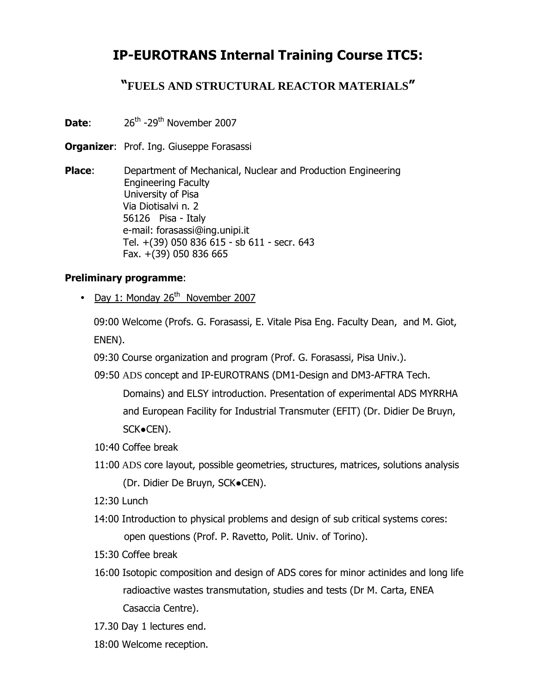## IP-EUROTRANS Internal Training Course ITC5:

### "**FUELS AND STRUCTURAL REACTOR MATERIALS**"

- **Date:**  $26^{th} -29^{th}$  November 2007
- **Organizer: Prof. Ing. Giuseppe Forasassi**

**Place:** Department of Mechanical, Nuclear and Production Engineering Engineering Faculty University of Pisa Via Diotisalvi n. 2 56126 Pisa - Italy e-mail: forasassi@ing.unipi.it Tel. +(39) 050 836 615 - sb 611 - secr. 643 Fax. +(39) 050 836 665

#### Preliminary programme:

• Day 1: Monday  $26<sup>th</sup>$  November 2007

09:00 Welcome (Profs. G. Forasassi, E. Vitale Pisa Eng. Faculty Dean, and M. Giot, ENEN).

09:30 Course organization and program (Prof. G. Forasassi, Pisa Univ.).

09:50 ADS concept and IP-EUROTRANS (DM1-Design and DM3-AFTRA Tech.

Domains) and ELSY introduction. Presentation of experimental ADS MYRRHA and European Facility for Industrial Transmuter (EFIT) (Dr. Didier De Bruyn, SCK●CEN).

- 10:40 Coffee break
- 11:00 ADS core layout, possible geometries, structures, matrices, solutions analysis (Dr. Didier De Bruyn, SCK●CEN).
- 12:30 Lunch
- 14:00 Introduction to physical problems and design of sub critical systems cores: open questions (Prof. P. Ravetto, Polit. Univ. of Torino).
- 15:30 Coffee break
- 16:00 Isotopic composition and design of ADS cores for minor actinides and long life radioactive wastes transmutation, studies and tests (Dr M. Carta, ENEA Casaccia Centre).
- 17.30 Day 1 lectures end.
- 18:00 Welcome reception.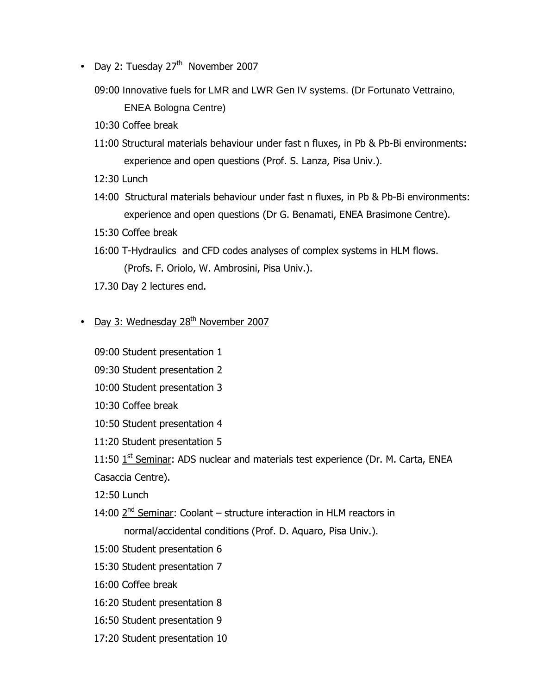- Day 2: Tuesday  $27<sup>th</sup>$  November 2007
	- 09:00 Innovative fuels for LMR and LWR Gen IV systems. (Dr Fortunato Vettraino, ENEA Bologna Centre)
	- 10:30 Coffee break
	- 11:00 Structural materials behaviour under fast n fluxes, in Pb & Pb-Bi environments: experience and open questions (Prof. S. Lanza, Pisa Univ.).
	- 12:30 Lunch
	- 14:00 Structural materials behaviour under fast n fluxes, in Pb & Pb-Bi environments: experience and open questions (Dr G. Benamati, ENEA Brasimone Centre).
	- 15:30 Coffee break
	- 16:00 T-Hydraulics and CFD codes analyses of complex systems in HLM flows. (Profs. F. Oriolo, W. Ambrosini, Pisa Univ.).
	- 17.30 Day 2 lectures end.
- Day 3: Wednesday 28<sup>th</sup> November 2007
	- 09:00 Student presentation 1
	- 09:30 Student presentation 2
	- 10:00 Student presentation 3
	- 10:30 Coffee break
	- 10:50 Student presentation 4
	- 11:20 Student presentation 5
	- 11:50  $1<sup>st</sup>$  Seminar: ADS nuclear and materials test experience (Dr. M. Carta, ENEA
	- Casaccia Centre).
	- 12:50 Lunch
	- 14:00  $2^{nd}$  Seminar: Coolant structure interaction in HLM reactors in normal/accidental conditions (Prof. D. Aquaro, Pisa Univ.).
	- 15:00 Student presentation 6
	- 15:30 Student presentation 7
	- 16:00 Coffee break
	- 16:20 Student presentation 8
	- 16:50 Student presentation 9
	- 17:20 Student presentation 10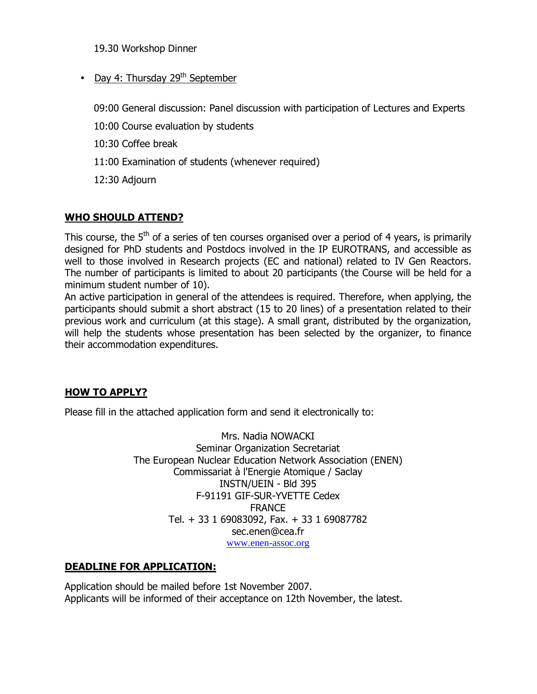19.30 Workshop Dinner

• Day 4: Thursday  $29<sup>th</sup>$  September

09:00 General discussion: Panel discussion with participation of Lectures and Experts

10:00 Course evaluation by students

10:30 Coffee break

11:00 Examination of students (whenever required)

12:30 Adjourn

#### WHO SHOULD ATTEND?

This course, the  $5<sup>th</sup>$  of a series of ten courses organised over a period of 4 years, is primarily designed for PhD students and Postdocs involved in the IP EUROTRANS, and accessible as well to those involved in Research projects (EC and national) related to IV Gen Reactors. The number of participants is limited to about 20 participants (the Course will be held for a minimum student number of 10).

An active participation in general of the attendees is required. Therefore, when applying, the participants should submit a short abstract (15 to 20 lines) of a presentation related to their previous work and curriculum (at this stage). A small grant, distributed by the organization, will help the students whose presentation has been selected by the organizer, to finance their accommodation expenditures.

#### HOW TO APPLY?

Please fill in the attached application form and send it electronically to:

Mrs. Nadia NOWACKI Seminar Organization Secretariat The European Nuclear Education Network Association (ENEN) Commissariat à l'Energie Atomique / Saclay INSTN/UEIN - Bld 395 F-91191 GIF-SUR-YVETTE Cedex FRANCE Tel. + 33 1 69083092, Fax. + 33 1 69087782 sec.enen@cea.fr www.enen-assoc.org

#### DEADLINE FOR APPLICATION:

Application should be mailed before 1st November 2007. Applicants will be informed of their acceptance on 12th November, the latest.